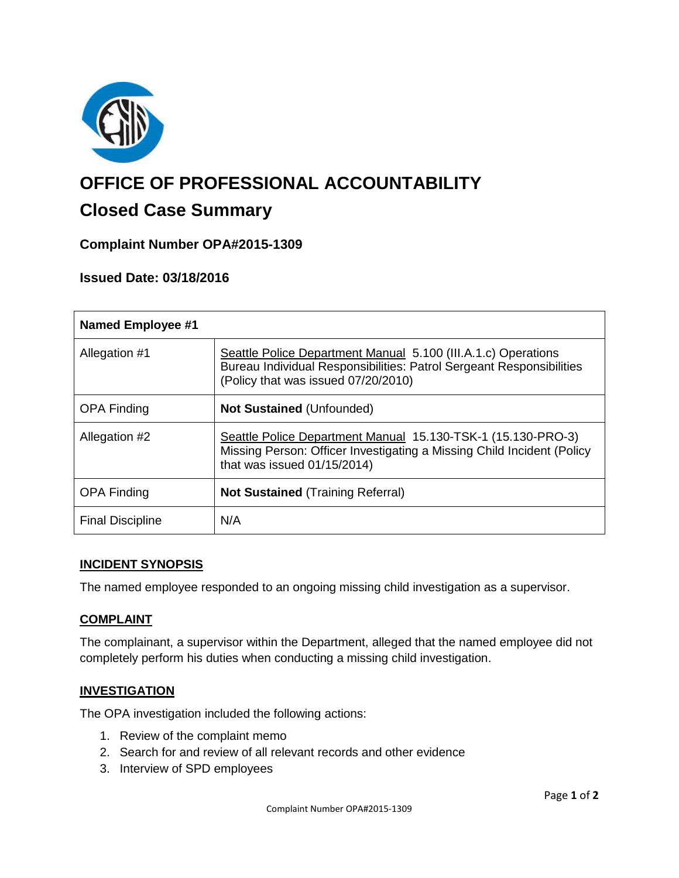

# **OFFICE OF PROFESSIONAL ACCOUNTABILITY**

# **Closed Case Summary**

# **Complaint Number OPA#2015-1309**

## **Issued Date: 03/18/2016**

| <b>Named Employee #1</b> |                                                                                                                                                                              |
|--------------------------|------------------------------------------------------------------------------------------------------------------------------------------------------------------------------|
| Allegation #1            | Seattle Police Department Manual 5.100 (III.A.1.c) Operations<br>Bureau Individual Responsibilities: Patrol Sergeant Responsibilities<br>(Policy that was issued 07/20/2010) |
| <b>OPA Finding</b>       | <b>Not Sustained (Unfounded)</b>                                                                                                                                             |
| Allegation #2            | Seattle Police Department Manual 15.130-TSK-1 (15.130-PRO-3)<br>Missing Person: Officer Investigating a Missing Child Incident (Policy<br>that was issued 01/15/2014)        |
| <b>OPA Finding</b>       | <b>Not Sustained (Training Referral)</b>                                                                                                                                     |
| <b>Final Discipline</b>  | N/A                                                                                                                                                                          |

#### **INCIDENT SYNOPSIS**

The named employee responded to an ongoing missing child investigation as a supervisor.

#### **COMPLAINT**

The complainant, a supervisor within the Department, alleged that the named employee did not completely perform his duties when conducting a missing child investigation.

#### **INVESTIGATION**

The OPA investigation included the following actions:

- 1. Review of the complaint memo
- 2. Search for and review of all relevant records and other evidence
- 3. Interview of SPD employees